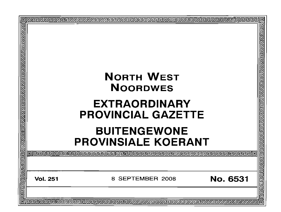| 回<br>विशिष्ट प्राप्त स्वतिष्ठान प्राप्त स्वतिष्ठान स्वतिष्ठान स्वतिष्ठान स्वतिष्ठान स्वतिष्ठान स्वतिष्ठान | <b>NORTH WEST</b><br><b>NOORDWES</b><br><b>EXTRAORDINARY</b><br><b>PROVINCIAL GAZETTE</b><br><b>BUITENGEWONE</b><br><b>PROVINSIALE KOERANT</b> |                     |                 | 回<br>999999999999999999999999999 |
|-----------------------------------------------------------------------------------------------------------|------------------------------------------------------------------------------------------------------------------------------------------------|---------------------|-----------------|----------------------------------|
|                                                                                                           |                                                                                                                                                |                     |                 | <u>elelelelelele</u>             |
|                                                                                                           | <b>Vol. 251</b>                                                                                                                                | SEPTEMBER 2008<br>8 | <b>No. 6531</b> | 군 군고 군고                          |
| 同                                                                                                         |                                                                                                                                                |                     |                 |                                  |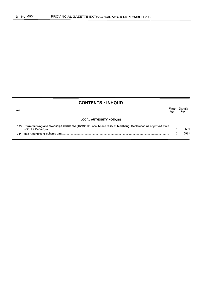# **CONTENTS -INHOUD**

| No. |                                                                                                               | Paœ<br>No. | Gazette<br>No. |
|-----|---------------------------------------------------------------------------------------------------------------|------------|----------------|
|     | <b>LOCAL AUTHORITY NOTICES</b>                                                                                |            |                |
| 383 | Town-planning and Townships Ordinance (15/1986): Local Municipality of Madibeng: Declaration as approved town |            | 6531           |

5

6531

384 do.: Amendment Scheme 286 .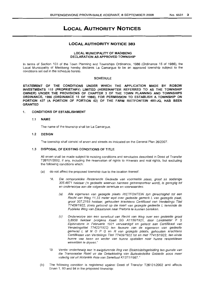# **LOCAL AUTHORITY NOTICES**

# **LOCAL AUTHORITY NOTICE 383**

# LOCAL MUNICIPALITY OF MADIBENG DECLARATION AS APPROVED TOWNSHIP

In terms of Section 103 of the Town Planning and Townships Ordinance, 1986 (Ordinance 15 of 1986), the Local Municipality of Madibeng hereby declares La Camargue to be an approved township subject to the conditions set out in the schedule hereto.

# **SCHEDULE**

STATEMENT OF THE CONDITIONS UNDER WHICH THE APPLICATION MADE BY ROBOW INVESTMENTS 115 (PROPRIETARY) LIMITED (HEREINAFTER REFERRED TO AS THE TOWNSHIP OWNER) UNIDER THE PROVISIONS OF CHAPTER 3 OF THE TOWN PLANNING AND TOWNSHIPS ORDINANCE, 1986 (ORDINANCE 15 OF 1986), FOR PERMISSION TO ESTABLISH A TOWNSHIP ON PORTION 437 (A PORTION OF PORTION 62) OF THE FARM RIETFONTEIN 485-JQ, HAS BEEN GRANTED

# 1. CONDITIONS OF ESTABLISHMENT

# 1.1 NAME

The name of the township shall be La Camargue.

# 1.2 DESIGN

The township shall consist of erven and streets as indicated on the General Plan 26/2007

# 1.3 DISPOSAL OF EXISTING CONDITIONS OF TITLE

All erven shall be made subject to existing conditions and servitudes described in Deed of Transfer T26101/2002, if any, including the reservation of rights to minerals and real rights, but excluding the following conditions which:

- (a) do not affect the proposed township due to the location thereof:
	- "A. Die oorspronklike Resterende Gedeelte van voormelde plaas, groot as sodanige 305.4871 hektaar ('n gedeelte waarvan hiermee getransporteer word), is geregtig tot en onderworpe aan die volgende serwitute en voorwaardes:
		- (a) AIle eigenaren van gezegde plaats RIETFONTEIN zyn gerechtighd tot een Recht van Weg 11,33 meter wyd over gedeelte gemerk L van gezegde p/aat, groot 307,2165 hektaar, gehouden krachtens Certificaat van Verdelings Titel T7409/1922, zoels getoond op die kaart van gezegde gedeelte L teneinde de Publieke Weg van Zilkaatsnek naar Pretoria te kunnen bereiken.
		- (c) Onderworpe aan een serwituut van Recht van Weg over een gedeelte groat 5,8958 hektaar (va/gens Kaart SG A 1156/1921, door Landmeter F S Elphinstone in Februarie 1921 vervaardigd en gehect aan Certifikaat van Verdelingstitel T7422/1922) ten faveure van de eigenaren van gedeelte gemerkt L M N O P Q en R van gezegde plaats, gehouden krachtens Certifikaten van Verdelings Titel T7409/1922 tot en met T7415/1922, ten einde hunne vee heen en weder van hunne opstallen naar hunne respektiewe weivelden te dryven."
	- "B. Verder onderhewig aan 'n ewiqaureride Reg van Elektrisiteitsgeleiding ten gunste van die Transvaalse Raad vir die Ontwikkeling van Buitestedelike Gebiede soos meer volledig sal uit Notariële Akte van Serwituut K1371/1987."
- (b) The following condition is registered against Deed of Transfer T26101/2002 and affects Erven 1, 93 and 94 in the proposed township: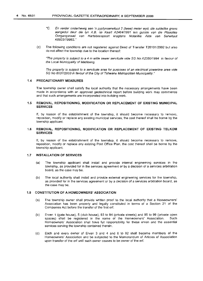- "G. En verder onderhewig aan 'n pyplynserwituut 2 (twee) meter wyd, die suidelike grens aangedui deur die Iyn A.B. op Kaart A2464/1991 ten gunste van die Plaaslike Oorgangsraad van Hartebeespoort kragtens Notariële Akte van Serwituut K6833/1998S. "
- (c) The following conditions are not registered against Deed of Transfer T26101/2002 but also do not affect the township due to the location thereof:

"The property is subject to a 4 m wide sewer servitude vide SG No A2350/1994 in favour of the Local Municipality of Madibeng.

The property is subject to a servitude area for purposes of an electrical powerline area vide SG No 6037/2003 in favour of the Gity of Tshwane Metropolitan Municipality."

# 1.4 PRECAUTIONARY MEASURES

The township owner shall satisfy the local authority that the necessary arrangements have been made in accordance with an approved geotechnical report before building work may commence and that such arrangements are incorporated into building work.

### 1.5 REMOVAL, REPOSITIONING, MODIFICATION OR REPLACEMENT OF EXISTING MUNICIPAL SERVICES

If, by reason of the establishment of the township, it should become necessary to remove, reposition, modify or replace any existing municipal services, the cost thereof shall be borne by the township applicant.

# 1.6 REMOVAL, REPOSITIONING, MODIFICATION OR REPLACEMENT OF EXISTING TELKOM **SERVICES**

If, by reason of the establishment of the township, it should become necessary to remove, reposition, modify or replace any existing Post Office Plan, the cost thereof shall be borne by the township applicant.

#### 1.7 INSTALLATION OF SERVICES

- (a) The township applicant shall install and provide internal engineering services in the township, as provided for in the services agreement or by a decision of a services arbitration board, as the case may be.
- (b) The local authority shall install and provide external engineering services for the township, as provided for in the services agreement or by a decision of a services arbitration board, as the case may be.

# 1.8 CONSTITUTION OF A HOMEOWNERS' ASSOCIATION

- (a) The township owner shall provide written proof to the local authority that a Homeowners' Association has been properly and legally constituted in terms of a Section 21 of the Companies Act before the transfer of the first erf.
- (b) Erven 1 (gate house), 5 (club house), 93 to 94 (private streets) and 95 to 99 (private open spaces) shall be registered in the name of the Homeowners' Association. Such Homeowners' Association shall have full responsibility for these erven and the essential services serving the township contained therein.
- (c) Each and every owner of Erven 3 and 4 and 6 to 92 shall become members of the Homeowners' Association and be subjected to the Memorandum of Articles of Association upon transfer of the erf until such owner ceases to be owner of the erf.